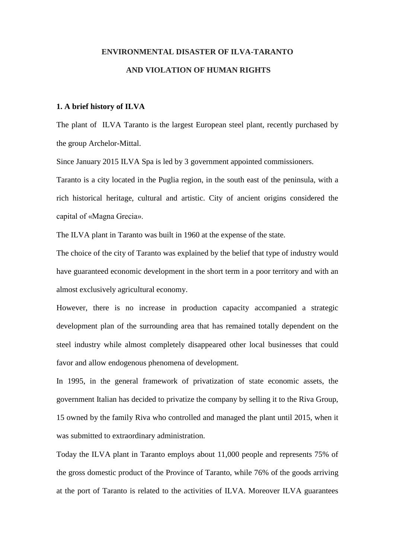# **ENVIRONMENTAL DISASTER OF ILVA-TARANTO AND VIOLATION OF HUMAN RIGHTS**

## **1. A brief history of ILVA**

The plant of ILVA Taranto is the largest European steel plant, recently purchased by the group Archelor-Mittal.

Since January 2015 ILVA Spa is led by 3 government appointed commissioners.

Taranto is a city located in the Puglia region, in the south east of the peninsula, with a rich historical heritage, cultural and artistic. City of ancient origins considered the capital of «Magna Grecia».

The ILVA plant in Taranto was built in 1960 at the expense of the state.

The choice of the city of Taranto was explained by the belief that type of industry would have guaranteed economic development in the short term in a poor territory and with an almost exclusively agricultural economy.

However, there is no increase in production capacity accompanied a strategic development plan of the surrounding area that has remained totally dependent on the steel industry while almost completely disappeared other local businesses that could favor and allow endogenous phenomena of development.

In 1995, in the general framework of privatization of state economic assets, the government Italian has decided to privatize the company by selling it to the Riva Group, 15 owned by the family Riva who controlled and managed the plant until 2015, when it was submitted to extraordinary administration.

Today the ILVA plant in Taranto employs about 11,000 people and represents 75% of the gross domestic product of the Province of Taranto, while 76% of the goods arriving at the port of Taranto is related to the activities of ILVA. Moreover ILVA guarantees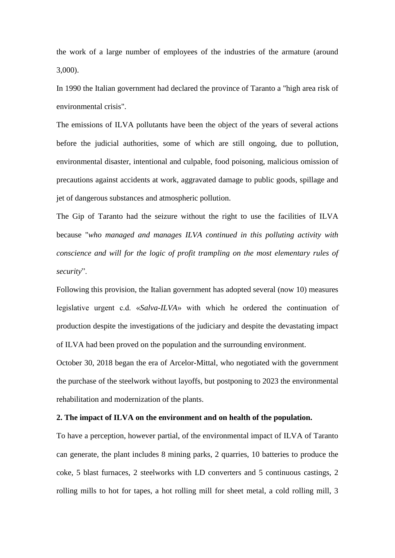the work of a large number of employees of the industries of the armature (around 3,000).

In 1990 the Italian government had declared the province of Taranto a "high area risk of environmental crisis".

The emissions of ILVA pollutants have been the object of the years of several actions before the judicial authorities, some of which are still ongoing, due to pollution, environmental disaster, intentional and culpable, food poisoning, malicious omission of precautions against accidents at work, aggravated damage to public goods, spillage and jet of dangerous substances and atmospheric pollution.

The Gip of Taranto had the seizure without the right to use the facilities of ILVA because "*who managed and manages ILVA continued in this polluting activity with conscience and will for the logic of profit trampling on the most elementary rules of security*".

Following this provision, the Italian government has adopted several (now 10) measures legislative urgent c.d. «*Salva-ILVA*» with which he ordered the continuation of production despite the investigations of the judiciary and despite the devastating impact of ILVA had been proved on the population and the surrounding environment.

October 30, 2018 began the era of Arcelor-Mittal, who negotiated with the government the purchase of the steelwork without layoffs, but postponing to 2023 the environmental rehabilitation and modernization of the plants.

## **2. The impact of ILVA on the environment and on health of the population.**

To have a perception, however partial, of the environmental impact of ILVA of Taranto can generate, the plant includes 8 mining parks, 2 quarries, 10 batteries to produce the coke, 5 blast furnaces, 2 steelworks with LD converters and 5 continuous castings, 2 rolling mills to hot for tapes, a hot rolling mill for sheet metal, a cold rolling mill, 3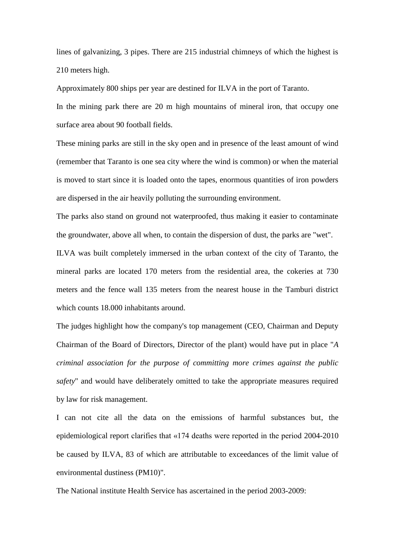lines of galvanizing, 3 pipes. There are 215 industrial chimneys of which the highest is 210 meters high.

Approximately 800 ships per year are destined for ILVA in the port of Taranto.

In the mining park there are 20 m high mountains of mineral iron, that occupy one surface area about 90 football fields.

These mining parks are still in the sky open and in presence of the least amount of wind (remember that Taranto is one sea city where the wind is common) or when the material is moved to start since it is loaded onto the tapes, enormous quantities of iron powders are dispersed in the air heavily polluting the surrounding environment.

The parks also stand on ground not waterproofed, thus making it easier to contaminate the groundwater, above all when, to contain the dispersion of dust, the parks are "wet".

ILVA was built completely immersed in the urban context of the city of Taranto, the mineral parks are located 170 meters from the residential area, the cokeries at 730 meters and the fence wall 135 meters from the nearest house in the Tamburi district which counts 18.000 inhabitants around.

The judges highlight how the company's top management (CEO, Chairman and Deputy Chairman of the Board of Directors, Director of the plant) would have put in place "*A criminal association for the purpose of committing more crimes against the public safety*" and would have deliberately omitted to take the appropriate measures required by law for risk management.

I can not cite all the data on the emissions of harmful substances but, the epidemiological report clarifies that «174 deaths were reported in the period 2004-2010 be caused by ILVA, 83 of which are attributable to exceedances of the limit value of environmental dustiness (PM10)".

The National institute Health Service has ascertained in the period 2003-2009: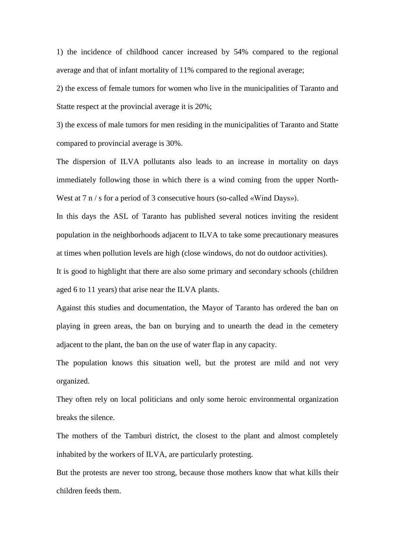1) the incidence of childhood cancer increased by 54% compared to the regional average and that of infant mortality of 11% compared to the regional average;

2) the excess of female tumors for women who live in the municipalities of Taranto and Statte respect at the provincial average it is 20%;

3) the excess of male tumors for men residing in the municipalities of Taranto and Statte compared to provincial average is 30%.

The dispersion of ILVA pollutants also leads to an increase in mortality on days immediately following those in which there is a wind coming from the upper North-West at 7 n / s for a period of 3 consecutive hours (so-called «Wind Days»).

In this days the ASL of Taranto has published several notices inviting the resident population in the neighborhoods adjacent to ILVA to take some precautionary measures at times when pollution levels are high (close windows, do not do outdoor activities).

It is good to highlight that there are also some primary and secondary schools (children aged 6 to 11 years) that arise near the ILVA plants.

Against this studies and documentation, the Mayor of Taranto has ordered the ban on playing in green areas, the ban on burying and to unearth the dead in the cemetery adjacent to the plant, the ban on the use of water flap in any capacity.

The population knows this situation well, but the protest are mild and not very organized.

They often rely on local politicians and only some heroic environmental organization breaks the silence.

The mothers of the Tamburi district, the closest to the plant and almost completely inhabited by the workers of ILVA, are particularly protesting.

But the protests are never too strong, because those mothers know that what kills their children feeds them.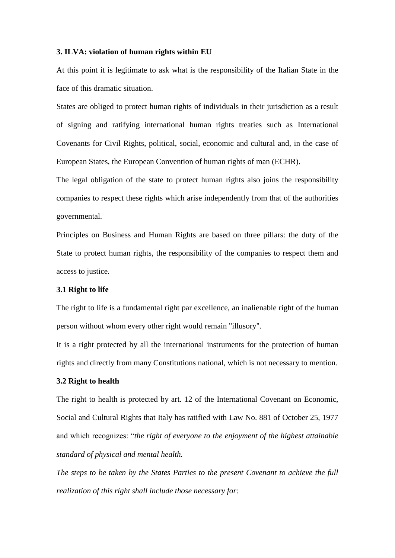#### **3. ILVA: violation of human rights within EU**

At this point it is legitimate to ask what is the responsibility of the Italian State in the face of this dramatic situation.

States are obliged to protect human rights of individuals in their jurisdiction as a result of signing and ratifying international human rights treaties such as International Covenants for Civil Rights, political, social, economic and cultural and, in the case of European States, the European Convention of human rights of man (ECHR).

The legal obligation of the state to protect human rights also joins the responsibility companies to respect these rights which arise independently from that of the authorities governmental.

Principles on Business and Human Rights are based on three pillars: the duty of the State to protect human rights, the responsibility of the companies to respect them and access to justice.

#### **3.1 Right to life**

The right to life is a fundamental right par excellence, an inalienable right of the human person without whom every other right would remain "illusory".

It is a right protected by all the international instruments for the protection of human rights and directly from many Constitutions national, which is not necessary to mention.

#### **3.2 Right to health**

The right to health is protected by art. 12 of the International Covenant on Economic, Social and Cultural Rights that Italy has ratified with Law No. 881 of October 25, 1977 and which recognizes: "*the right of everyone to the enjoyment of the highest attainable standard of physical and mental health.* 

*The steps to be taken by the States Parties to the present Covenant to achieve the full realization of this right shall include those necessary for:*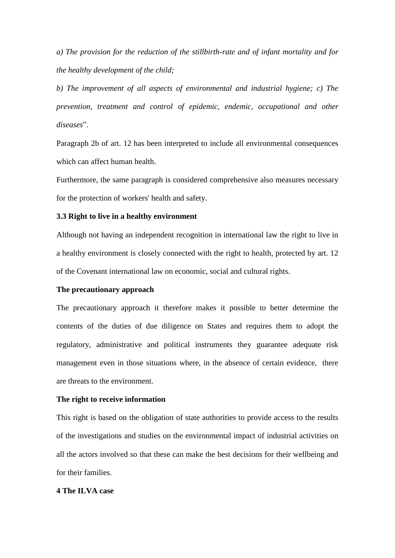*a) The provision for the reduction of the stillbirth-rate and of infant mortality and for the healthy development of the child;*

*b) The improvement of all aspects of environmental and industrial hygiene; c) The prevention, treatment and control of epidemic, endemic, occupational and other diseases*".

Paragraph 2b of art. 12 has been interpreted to include all environmental consequences which can affect human health.

Furthermore, the same paragraph is considered comprehensive also measures necessary for the protection of workers' health and safety.

## **3.3 Right to live in a healthy environment**

Although not having an independent recognition in international law the right to live in a healthy environment is closely connected with the right to health, protected by art. 12 of the Covenant international law on economic, social and cultural rights.

## **The precautionary approach**

The precautionary approach it therefore makes it possible to better determine the contents of the duties of due diligence on States and requires them to adopt the regulatory, administrative and political instruments they guarantee adequate risk management even in those situations where, in the absence of certain evidence, there are threats to the environment.

#### **The right to receive information**

This right is based on the obligation of state authorities to provide access to the results of the investigations and studies on the environmental impact of industrial activities on all the actors involved so that these can make the best decisions for their wellbeing and for their families.

## **4 The ILVA case**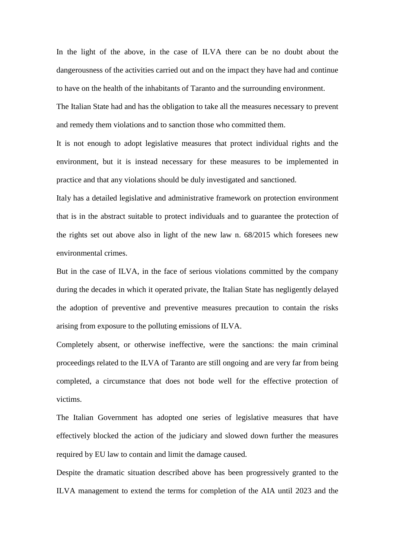In the light of the above, in the case of ILVA there can be no doubt about the dangerousness of the activities carried out and on the impact they have had and continue to have on the health of the inhabitants of Taranto and the surrounding environment.

The Italian State had and has the obligation to take all the measures necessary to prevent and remedy them violations and to sanction those who committed them.

It is not enough to adopt legislative measures that protect individual rights and the environment, but it is instead necessary for these measures to be implemented in practice and that any violations should be duly investigated and sanctioned.

Italy has a detailed legislative and administrative framework on protection environment that is in the abstract suitable to protect individuals and to guarantee the protection of the rights set out above also in light of the new law n. 68/2015 which foresees new environmental crimes.

But in the case of ILVA, in the face of serious violations committed by the company during the decades in which it operated private, the Italian State has negligently delayed the adoption of preventive and preventive measures precaution to contain the risks arising from exposure to the polluting emissions of ILVA.

Completely absent, or otherwise ineffective, were the sanctions: the main criminal proceedings related to the ILVA of Taranto are still ongoing and are very far from being completed, a circumstance that does not bode well for the effective protection of victims.

The Italian Government has adopted one series of legislative measures that have effectively blocked the action of the judiciary and slowed down further the measures required by EU law to contain and limit the damage caused.

Despite the dramatic situation described above has been progressively granted to the ILVA management to extend the terms for completion of the AIA until 2023 and the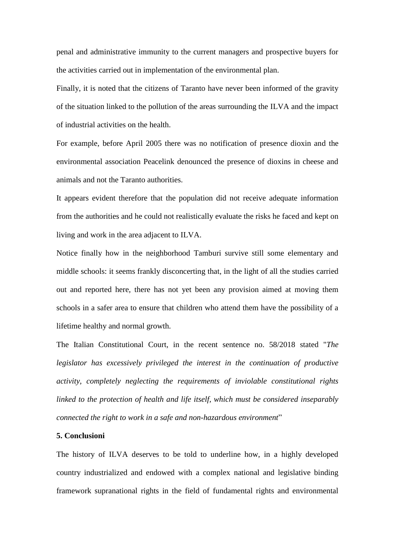penal and administrative immunity to the current managers and prospective buyers for the activities carried out in implementation of the environmental plan.

Finally, it is noted that the citizens of Taranto have never been informed of the gravity of the situation linked to the pollution of the areas surrounding the ILVA and the impact of industrial activities on the health.

For example, before April 2005 there was no notification of presence dioxin and the environmental association Peacelink denounced the presence of dioxins in cheese and animals and not the Taranto authorities.

It appears evident therefore that the population did not receive adequate information from the authorities and he could not realistically evaluate the risks he faced and kept on living and work in the area adjacent to ILVA.

Notice finally how in the neighborhood Tamburi survive still some elementary and middle schools: it seems frankly disconcerting that, in the light of all the studies carried out and reported here, there has not yet been any provision aimed at moving them schools in a safer area to ensure that children who attend them have the possibility of a lifetime healthy and normal growth.

The Italian Constitutional Court, in the recent sentence no. 58/2018 stated "*The legislator has excessively privileged the interest in the continuation of productive activity, completely neglecting the requirements of inviolable constitutional rights linked to the protection of health and life itself, which must be considered inseparably connected the right to work in a safe and non-hazardous environment*"

# **5. Conclusioni**

The history of ILVA deserves to be told to underline how, in a highly developed country industrialized and endowed with a complex national and legislative binding framework supranational rights in the field of fundamental rights and environmental